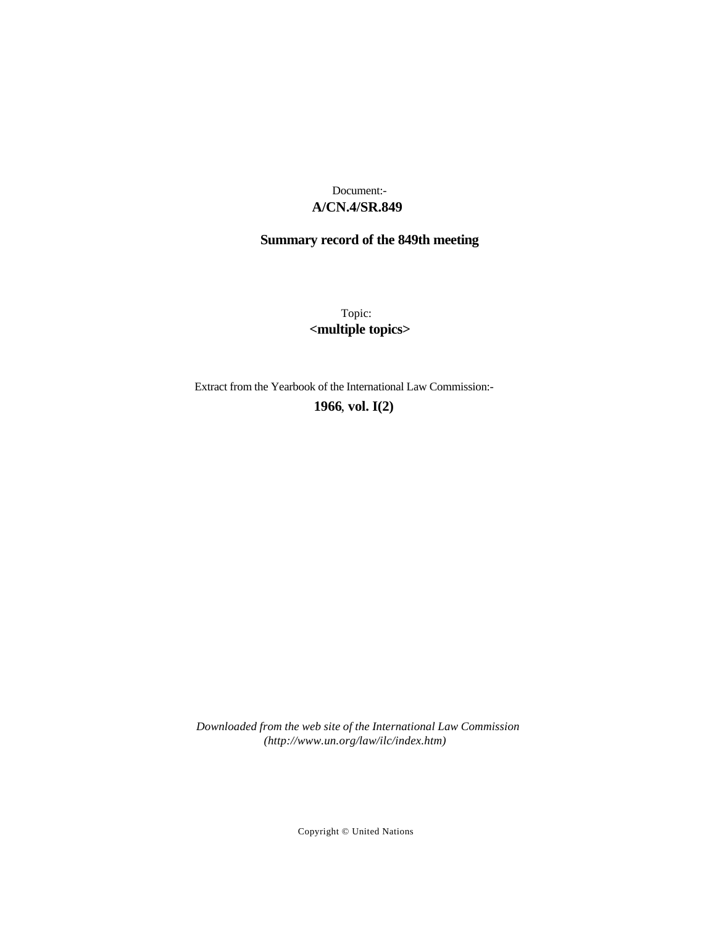# **A/CN.4/SR.849** Document:-

# **Summary record of the 849th meeting**

Topic: **<multiple topics>**

Extract from the Yearbook of the International Law Commission:-

**1966** , **vol. I(2)**

*Downloaded from the web site of the International Law Commission (http://www.un.org/law/ilc/index.htm)*

Copyright © United Nations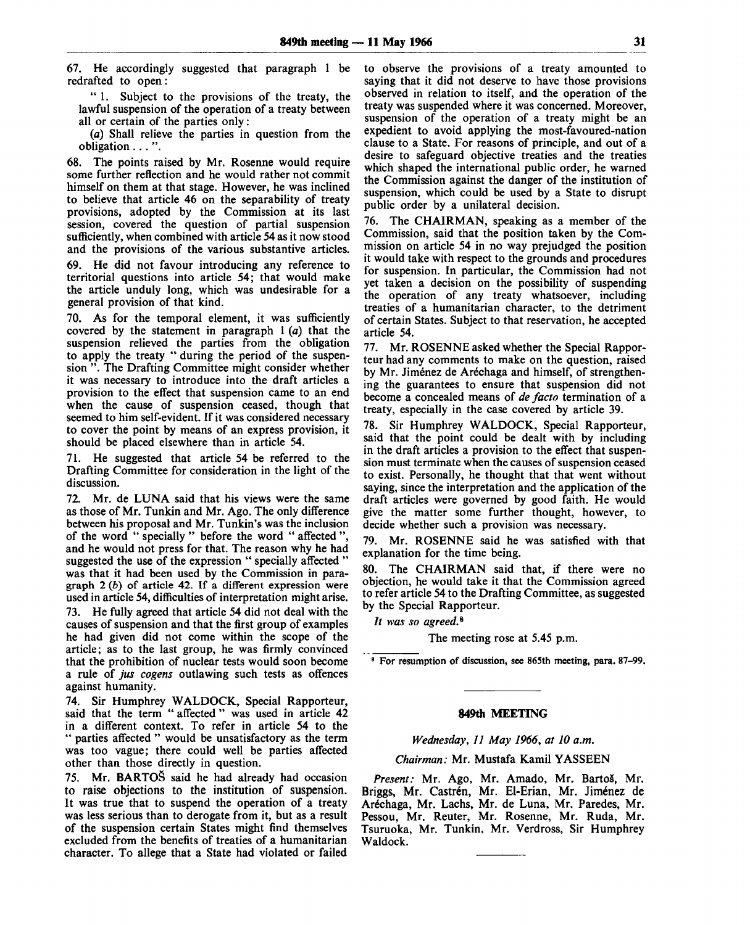67. He accordingly suggested that paragraph 1 be redrafted to open:

" 1. Subject to the provisions of the treaty, the lawful suspension of the operation of a treaty between all or certain of the parties only :

(a) Shall relieve the parties in question from the obligation .. . ".

68. The points raised by Mr. Rosenne would require some further reflection and he would rather not commit himself on them at that stage. However, he was inclined to believe that article 46 on the separability of treaty provisions, adopted by the Commission at its last session, covered the question of partial suspension sufficiently, when combined with article 54 as it now stood and the provisions of the various substantive articles.

69. He did not favour introducing any reference to territorial questions into article 54; that would make the article unduly long, which was undesirable for a general provision of that kind.

70. As for the temporal element, it was sufficiently covered by the statement in paragraph 1 *(a)* that the suspension relieved the parties from the obligation to apply the treaty " during the period of the suspension ". The Drafting Committee might consider whether it was necessary to introduce into the draft articles a provision to the effect that suspension came to an end when the cause of suspension ceased, though that seemed to him self-evident. If it was considered necessary to cover the point by means of an express provision, it should be placed elsewhere than in article 54.

71. He suggested that article 54 be referred to the Drafting Committee for consideration in the light of the discussion.

72. Mr. de LUNA said that his views were the same as those of Mr. Tunkin and Mr. Ago. The only difference between his proposal and Mr. Tunkin's was the inclusion of the word " specially " before the word " affected ", and he would not press for that. The reason why he had suggested the use of the expression " specially affected " was that it had been used by the Commission in paragraph 2 *(b)* of article 42. If a different expression were used in article 54, difficulties of interpretation might arise. 73. He fully agreed that article 54 did not deal with the causes of suspension and that the first group of examples he had given did not come within the scope of the article; as to the last group, he was firmly convinced that the prohibition of nuclear tests would soon become a rule of *jus cogens* outlawing such tests as offences against humanity.

74. Sir Humphrey WALDOCK, Special Rapporteur, said that the term " affected " was used in article 42 in a different context. To refer in article 54 to the " parties affected " would be unsatisfactory as the term was too vague; there could well be parties affected other than those directly in question.

75. Mr. **BARTO&** said he had already had occasion to raise objections to the institution of suspension. It was true that to suspend the operation of a treaty was less serious than to derogate from it, but as a result of the suspension certain States might find themselves excluded from the benefits of treaties of a humanitarian character. To allege that a State had violated or failed

to observe the provisions of a treaty amounted to saying that it did not deserve to have those provisions observed in relation to itself, and the operation of the treaty was suspended where it was concerned. Moreover, suspension of the operation of a treaty might be an expedient to avoid applying the most-favoured-nation clause to a State. For reasons of principle, and out of a desire to safeguard objective treaties and the treaties which shaped the international public order, he warned the Commission against the danger of the institution of suspension, which could be used by a State to disrupt public order by a unilateral decision.

76. The CHAIRMAN, speaking as a member of the Commission, said that the position taken by the Commission on article 54 in no way prejudged the position it would take with respect to the grounds and procedures for suspension. In particular, the Commission had not yet taken a decision on the possibility of suspending the operation of any treaty whatsoever, including treaties of a humanitarian character, to the detriment of certain States. Subject to that reservation, he accepted article 54.

77. Mr. ROSENNE asked whether the Special Rapporteur had any comments to make on the question, raised by Mr. Jiménez de Aréchaga and himself, of strengthening the guarantees to ensure that suspension did not become a concealed means of *de facto* termination of a treaty, especially in the case covered by article 39.

78. Sir Humphrey WALDOCK, Special Rapporteur, said that the point could be dealt with by including in the draft articles a provision to the effect that suspension must terminate when the causes of suspension ceased to exist. Personally, he thought that that went without saying, since the interpretation and the application of the draft articles were governed by good faith. He would give the matter some further thought, however, to decide whether such a provision was necessary.

79. Mr. ROSENNE said he was satisfied with that explanation for the time being.

80. The CHAIRMAN said that, if there were no objection, he would take it that the Commission agreed to refer article 54 to the Drafting Committee, as suggested by the Special Rapporteur.

// *was so agreed.<sup>8</sup>*

The meeting rose at 5.45 p.m.

<sup>8</sup> For resumption of discussion, see 865th meeting, para. 87-99.

#### **849th MEETING**

#### *Wednesday, 11 May 1966, at 10 a.m.*

# *Chairman:* Mr. Mustafa Kamil YASSEEN

Present: Mr. Ago, Mr. Amado, Mr. Bartoš, Mr. Briggs, Mr. Castrén, Mr. El-Erian, Mr. Jiménez de Aréchaga, Mr. Lachs, Mr. de Luna, Mr. Paredes, Mr. Pessou, Mr. Reuter, Mr. Rosenne, Mr. Ruda, Mr. Tsuruoka, Mr. Tunkin, Mr. Verdross, Sir Humphrey Waldock.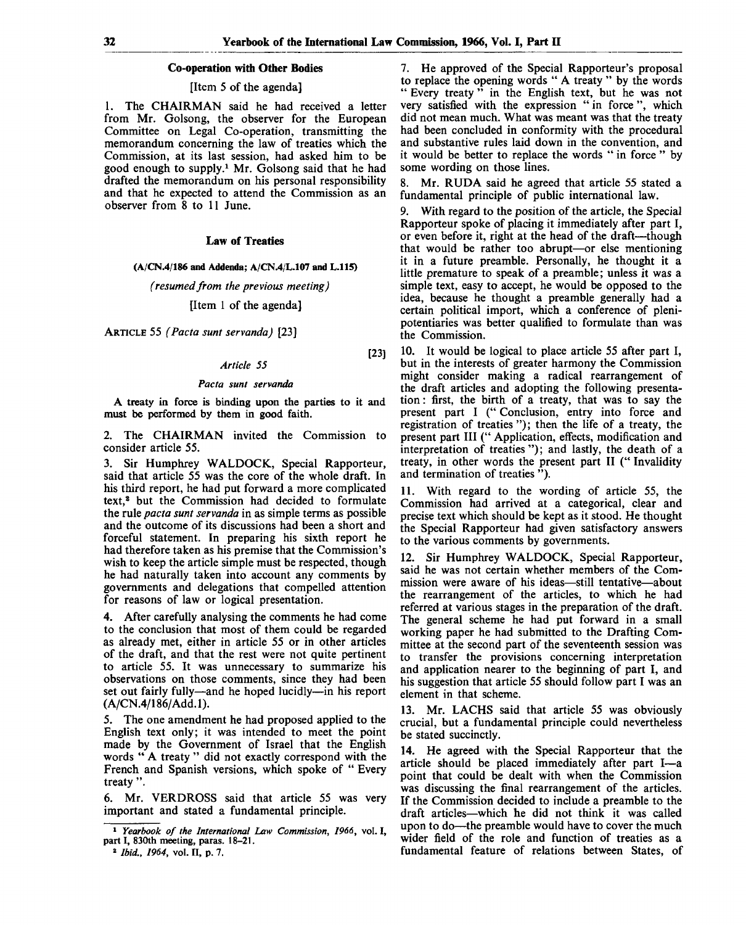[23]

# **Co-operation with Other Bodies**

# [Item 5 of the agenda]

1. The CHAIRMAN said he had received a letter from Mr. Golsong, the observer for the European Committee on Legal Co-operation, transmitting the memorandum concerning the law of treaties which the Commission, at its last session, had asked him to be good enough to supply.<sup>1</sup> Mr. Golsong said that he had drafted the memorandum on his personal responsibility and that he expected to attend the Commission as an observer from 8 to 11 June.

# **Law** of **Treaties**

#### (A/CN.4/186 and Addenda; A/CN.4/L.107 and L.115)

*(resumed from the previous meeting)*

# [Item 1 of the agenda]

ARTICLE 55 *(Pacta sunt servanda)* [23]

#### *Article 55*

#### *Pacta sunt servanda*

A treaty in force is binding upon the parties to it and must be performed by them in good faith.

2. The CHAIRMAN invited the Commission to consider article 55.

3. Sir Humphrey WALDOCK, Special Rapporteur, said that article 55 was the core of the whole draft. In his third report, he had put forward a more complicated text,<sup>2</sup> but the Commission had decided to formulate the rule *pacta sunt servanda* in as simple terms as possible and the outcome of its discussions had been a short and forceful statement. In preparing his sixth report he had therefore taken as his premise that the Commission's wish to keep the article simple must be respected, though he had naturally taken into account any comments by governments and delegations that compelled attention for reasons of law or logical presentation.

4. After carefully analysing the comments he had come to the conclusion that most of them could be regarded as already met, either in article 55 or in other articles of the draft, and that the rest were not quite pertinent to article 55. It was unnecessary to summarize his observations on those comments, since they had been set out fairly fully—and he hoped lucidly—in his report (A/CN.4/186/Add.l).

5. The one amendment he had proposed applied to the English text only; it was intended to meet the point made by the Government of Israel that the English words " A treaty " did not exactly correspond with the French and Spanish versions, which spoke of " Every treaty ".

6. Mr. VERDROSS said that article 55 was very important and stated a fundamental principle.

7. He approved of the Special Rapporteur's proposal to replace the opening words " A treaty " by the words " Every treaty " in the English text, but he was not very satisfied with the expression " in force ", which did not mean much. What was meant was that the treaty had been concluded in conformity with the procedural and substantive rules laid down in the convention, and it would be better to replace the words " in force " by some wording on those lines.

8. Mr. RUDA said he agreed that article 55 stated a fundamental principle of public international law.

9. With regard to the position of the article, the Special Rapporteur spoke of placing it immediately after part I, or even before it, right at the head of the draft—though that would be rather too abrupt—or else mentioning it in a future preamble. Personally, he thought it a little premature to speak of a preamble; unless it was a simple text, easy to accept, he would be opposed to the idea, because he thought a preamble generally had a certain political import, which a conference of plenipotentiaries was better qualified to formulate than was the Commission.

10. It would be logical to place article 55 after part I, but in the interests of greater harmony the Commission might consider making a radical rearrangement of the draft articles and adopting the following presentation: first, the birth of a treaty, that was to say the present part I ("Conclusion, entry into force and registration of treaties "); then the life of a treaty, the present part III (" Application, effects, modification and interpretation of treaties"); and lastly, the death of a treaty, in other words the present part II (" Invalidity and termination of treaties ").

11. With regard to the wording of article 55, the Commission had arrived at a categorical, clear and precise text which should be kept as it stood. He thought the Special Rapporteur had given satisfactory answers to the various comments by governments.

12. Sir Humphrey WALDOCK, Special Rapporteur, said he was not certain whether members of the Commission were aware of his ideas—still tentative—about the rearrangement of the articles, to which he had referred at various stages in the preparation of the draft. The general scheme he had put forward in a small working paper he had submitted to the Drafting Committee at the second part of the seventeenth session was to transfer the provisions concerning interpretation and application nearer to the beginning of part I, and his suggestion that article 55 should follow part I was an element in that scheme.

13. Mr. LACHS said that article 55 was obviously crucial, but a fundamental principle could nevertheless be stated succinctly.

14. He agreed with the Special Rapporteur that the article should be placed immediately after part I—a point that could be dealt with when the Commission was discussing the final rearrangement of the articles. If the Commission decided to include a preamble to the draft articles—which he did not think it was called upon to do—the preamble would have to cover the much wider field of the role and function of treaties as a fundamental feature of relations between States, of

<sup>1</sup>  *Yearbook of the International Law Commission, 1966,* vol. I, part I, 830th meeting, paras. 18-21.

<sup>2</sup>  *Ibid., 1964,* vol. II, p. 7.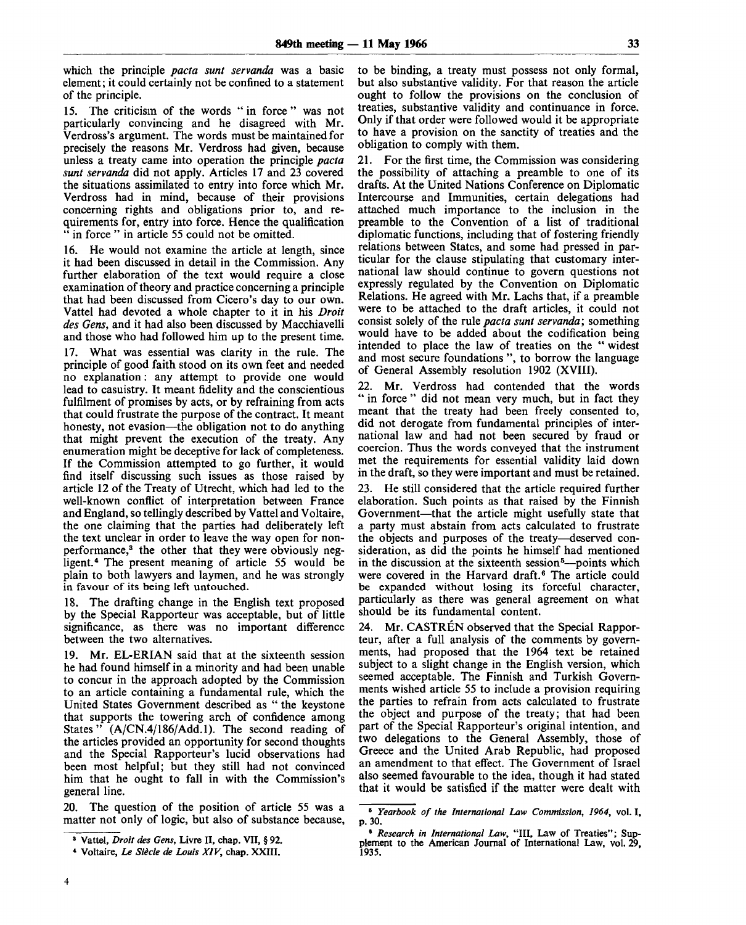which the principle *pacta sunt servanda* was a basic element; it could certainly not be confined to a statement of the principle.

15. The criticism of the words " in force " was not particularly convincing and he disagreed with Mr. Verdross's argument. The words must be maintained for precisely the reasons Mr. Verdross had given, because unless a treaty came into operation the principle *pacta sunt servanda* did not apply. Articles 17 and 23 covered the situations assimilated to entry into force which Mr. Verdross had in mind, because of their provisions concerning rights and obligations prior to, and requirements for, entry into force. Hence the qualification in force " in article 55 could not be omitted.

16. He would not examine the article at length, since it had been discussed in detail in the Commission. Any further elaboration of the text would require a close examination of theory and practice concerning a principle that had been discussed from Cicero's day to our own. Vattel had devoted a whole chapter to it in his *Droit des Gens,* and it had also been discussed by Macchiavelli and those who had followed him up to the present time.

17. What was essential was clarity in the rule. The principle of good faith stood on its own feet and needed no explanation: any attempt to provide one would lead to casuistry. It meant fidelity and the conscientious fulfilment of promises by acts, or by refraining from acts that could frustrate the purpose of the contract. It meant honesty, not evasion—the obligation not to do anything that might prevent the execution of the treaty. Any enumeration might be deceptive for lack of completeness. If the Commission attempted to go further, it would find itself discussing such issues as those raised by article 12 of the Treaty of Utrecht, which had led to the well-known conflict of interpretation between France and England, so tellingly described by Vattel and Voltaire, the one claiming that the parties had deliberately left the text unclear in order to leave the way open for nonperformance,<sup>3</sup> the other that they were obviously negligent.<sup>4</sup> The present meaning of article 55 would be plain to both lawyers and laymen, and he was strongly in favour of its being left untouched.

18. The drafting change in the English text proposed by the Special Rapporteur was acceptable, but of little significance, as there was no important difference between the two alternatives.

19. Mr. EL-ERIAN said that at the sixteenth session he had found himself in a minority and had been unable to concur in the approach adopted by the Commission to an article containing a fundamental rule, which the United States Government described as " the keystone that supports the towering arch of confidence among States" (A/CN.4/186/Add.l). The second reading of the articles provided an opportunity for second thoughts and the Special Rapporteur's lucid observations had been most helpful; but they still had not convinced him that he ought to fall in with the Commission's general line.

20. The question of the position of article 55 was a matter not only of logic, but also of substance because, to be binding, a treaty must possess not only formal, but also substantive validity. For that reason the article ought to follow the provisions on the conclusion of treaties, substantive validity and continuance in force. Only if that order were followed would it be appropriate to have a provision on the sanctity of treaties and the obligation to comply with them.

21. For the first time, the Commission was considering the possibility of attaching a preamble to one of its drafts. At the United Nations Conference on Diplomatic Intercourse and Immunities, certain delegations had attached much importance to the inclusion in the preamble to the Convention of a list of traditional diplomatic functions, including that of fostering friendly relations between States, and some had pressed in particular for the clause stipulating that customary international law should continue to govern questions not expressly regulated by the Convention on Diplomatic Relations. He agreed with Mr. Lachs that, if a preamble were to be attached to the draft articles, it could not consist solely of the rule *pacta sunt servanda*; something would have to be added about the codification being intended to place the law of treaties on the " widest and most secure foundations ", to borrow the language of General Assembly resolution 1902 (XVIII).

22. Mr. Verdross had contended that the words " in force " did not mean very much, but in fact they meant that the treaty had been freely consented to, did not derogate from fundamental principles of international law and had not been secured by fraud or coercion. Thus the words conveyed that the instrument met the requirements for essential validity laid down in the draft, so they were important and must be retained.

23. He still considered that the article required further elaboration. Such points as that raised by the Finnish Government—that the article might usefully state that a party must abstain from acts calculated to frustrate the objects and purposes of the treaty—deserved consideration, as did the points he himself had mentioned in the discussion at the sixteenth session<sup>5</sup>—points which were covered in the Harvard draft.<sup>6</sup> The article could be expanded without losing its forceful character, particularly as there was general agreement on what should be its fundamental content.

24. Mr. CASTREN observed that the Special Rapporteur, after a full analysis of the comments by governments, had proposed that the 1964 text be retained subject to a slight change in the English version, which seemed acceptable. The Finnish and Turkish Governments wished article 55 to include a provision requiring the parties to refrain from acts calculated to frustrate the object and purpose of the treaty; that had been part of the Special Rapporteur's original intention, and two delegations to the General Assembly, those of Greece and the United Arab Republic, had proposed an amendment to that effect. The Government of Israel also seemed favourable to the idea, though it had stated that it would be satisfied if the matter were dealt with

<sup>8</sup> Vattel, *Droit des Gens,* Livre II, chap. VII, § 92.

<sup>«</sup> Voltaire, *Le Siecle de Louis XIV,* chap. XXIII.

<sup>8</sup>  *Yearbook of the International Law Commission, 1964,* vol. I, p. 30.

<sup>6</sup>  *Research in International Law,* "III, Law of Treaties"; Sup-plement to the American Journal of International Law, vol. 29, 1935.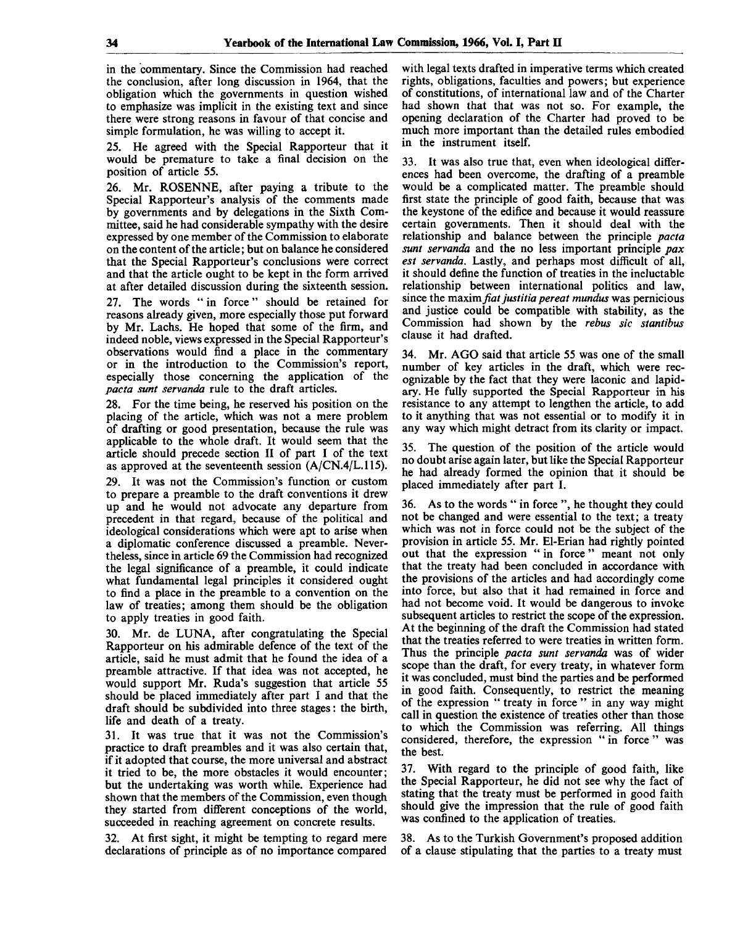in the commentary. Since the Commission had reached the conclusion, after long discussion in 1964, that the obligation which the governments in question wished to emphasize was implicit in the existing text and since there were strong reasons in favour of that concise and simple formulation, he was willing to accept it.

25. He agreed with the Special Rapporteur that it would be premature to take a final decision on the position of article 55.

26. Mr. ROSENNE, after paying a tribute to the Special Rapporteur's analysis of the comments made by governments and by delegations in the Sixth Committee, said he had considerable sympathy with the desire expressed by one member of the Commission to elaborate on the content of the article; but on balance he considered that the Special Rapporteur's conclusions were correct and that the article ought to be kept in the form arrived at after detailed discussion during the sixteenth session.

27. The words " in force" should be retained for reasons already given, more especially those put forward by Mr. Lachs. He hoped that some of the firm, and indeed noble, views expressed in the Special Rapporteur's observations would find a place in the commentary or in the introduction to the Commission's report, especially those concerning the application of the *pacta sunt servanda* rule to the draft articles.

28. For the time being, he reserved his position on the placing of the article, which was not a mere problem of drafting or good presentation, because the rule was applicable to the whole draft. It would seem that the article should precede section II of part I of the text as approved at the seventeenth session (A/CN.4/L.115).

29. It was not the Commission's function or custom to prepare a preamble to the draft conventions it drew up and he would not advocate any departure from precedent in that regard, because of the political and ideological considerations which were apt to arise when a diplomatic conference discussed a preamble. Nevertheless, since in article 69 the Commission had recognized the legal significance of a preamble, it could indicate what fundamental legal principles it considered ought to find a place in the preamble to a convention on the law of treaties; among them should be the obligation to apply treaties in good faith.

30. Mr. de LUNA, after congratulating the Special Rapporteur on his admirable defence of the text of the article, said he must admit that he found the idea of a preamble attractive. If that idea was not accepted, he would support Mr. Ruda's suggestion that article 55 should be placed immediately after part I and that the draft should be subdivided into three stages: the birth, life and death of a treaty.

31. It was true that it was not the Commission's practice to draft preambles and it was also certain that, if it adopted that course, the more universal and abstract it tried to be, the more obstacles it would encounter; but the undertaking was worth while. Experience had shown that the members of the Commission, even though they started from different conceptions of the world, succeeded in reaching agreement on concrete results.

32. At first sight, it might be tempting to regard mere declarations of principle as of no importance compared with legal texts drafted in imperative terms which created rights, obligations, faculties and powers; but experience of constitutions, of international law and of the Charter had shown that that was not so. For example, the opening declaration of the Charter had proved to be much more important than the detailed rules embodied in the instrument itself.

33. It was also true that, even when ideological differences had been overcome, the drafting of a preamble would be a complicated matter. The preamble should first state the principle of good faith, because that was the keystone of the edifice and because it would reassure certain governments. Then it should deal with the relationship and balance between the principle *pacta sunt servanda* and the no less important principle *pax est servanda.* Lastly, and perhaps most difficult of all, it should define the function of treaties in the ineluctable relationship between international politics and law, since the maxim *fiat justitia pereat mundus* was pernicious and justice could be compatible with stability, as the Commission had shown by the *rebus sic stantibus* clause it had drafted.

34. Mr. AGO said that article 55 was one of the small number of key articles in the draft, which were recognizable by the fact that they were laconic and lapidary. He fully supported the Special Rapporteur in his resistance to any attempt to lengthen the article, to add to it anything that was not essential or to modify it in any way which might detract from its clarity or impact.

35. The question of the position of the article would no doubt arise again later, but like the Special Rapporteur he had already formed the opinion that it should be placed immediately after part I.

36. As to the words " in force ", he thought they could not be changed and were essential to the text; a treaty which was not in force could not be the subject of the provision in article 55. Mr. El-Erian had rightly pointed out that the expression " in force" meant not only that the treaty had been concluded in accordance with the provisions of the articles and had accordingly come into force, but also that it had remained in force and had not become void. It would be dangerous to invoke subsequent articles to restrict the scope of the expression. At the beginning of the draft the Commission had stated that the treaties referred to were treaties in written form. Thus the principle *pacta sunt servanda* was of wider scope than the draft, for every treaty, in whatever form it was concluded, must bind the parties and be performed in good faith. Consequently, to restrict the meaning of the expression " treaty in force " in any way might call in question the existence of treaties other than those to which the Commission was referring. All things considered, therefore, the expression " in force " was the best.

37. With regard to the principle of good faith, like the Special Rapporteur, he did not see why the fact of stating that the treaty must be performed in good faith should give the impression that the rule of good faith was confined to the application of treaties.

38. As to the Turkish Government's proposed addition of a clause stipulating that the parties to a treaty must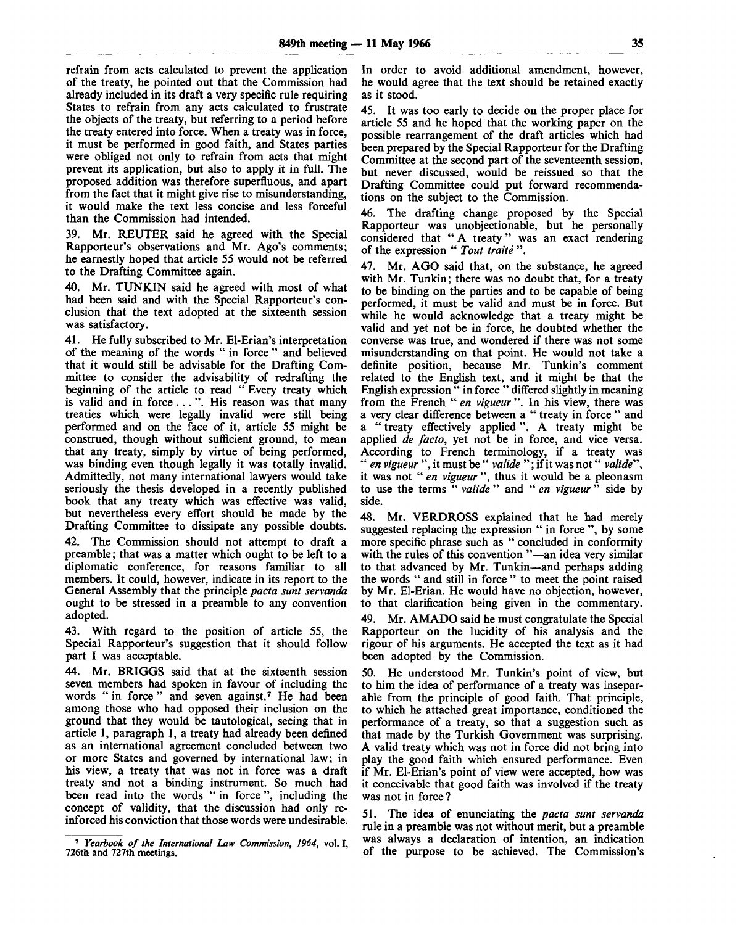refrain from acts calculated to prevent the application of the treaty, he pointed out that the Commission had already included in its draft a very specific rule requiring States to refrain from any acts calculated to frustrate the objects of the treaty, but referring to a period before the treaty entered into force. When a treaty was in force, it must be performed in good faith, and States parties were obliged not only to refrain from acts that might prevent its application, but also to apply it in full. The proposed addition was therefore superfluous, and apart from the fact that it might give rise to misunderstanding, it would make the text less concise and less forceful than the Commission had intended.

39. Mr. REUTER said he agreed with the Special Rapporteur's observations and Mr. Ago's comments; he earnestly hoped that article 55 would not be referred to the Drafting Committee again.

40. Mr. TUNKIN said he agreed with most of what had been said and with the Special Rapporteur's conclusion that the text adopted at the sixteenth session was satisfactory.

41. He fully subscribed to Mr. El-Erian's interpretation of the meaning of the words " in force " and believed that it would still be advisable for the Drafting Committee to consider the advisability of redrafting the beginning of the article to read " Every treaty which is valid and in force. .. ". His reason was that many treaties which were legally invalid were still being performed and on the face of it, article 55 might be construed, though without sufficient ground, to mean that any treaty, simply by virtue of being performed, was binding even though legally it was totally invalid. Admittedly, not many international lawyers would take seriously the thesis developed in a recently published book that any treaty which was effective was valid, but nevertheless every effort should be made by the Drafting Committee to dissipate any possible doubts.

42. The Commission should not attempt to draft a preamble; that was a matter which ought to be left to a diplomatic conference, for reasons familiar to all members. It could, however, indicate in its report to the General Assembly that the principle *pacta sunt servanda* ought to be stressed in a preamble to any convention adopted.

43. With regard to the position of article 55, the Special Rapporteur's suggestion that it should follow part I was acceptable.

44. Mr. BRIGGS said that at the sixteenth session seven members had spoken in favour of including the words "in force" and seven against.<sup>7</sup> He had been among those who had opposed their inclusion on the ground that they would be tautological, seeing that in article 1, paragraph 1, a treaty had already been defined as an international agreement concluded between two or more States and governed by international law; in his view, a treaty that was not in force was a draft treaty and not a binding instrument. So much had been read into the words " in force ", including the concept of validity, that the discussion had only reinforced his conviction that those words were undesirable.

In order to avoid additional amendment, however, he would agree that the text should be retained exactly as it stood.

45. It was too early to decide on the proper place for article 55 and he hoped that the working paper on the possible rearrangement of the draft articles which had been prepared by the Special Rapporteur for the Drafting Committee at the second part of the seventeenth session, but never discussed, would be reissued so that the Drafting Committee could put forward recommendations on the subject to the Commission.

46. The drafting change proposed by the Special Rapporteur was unobjectionable, but he personally considered that " A treaty" was an exact rendering of the expression " *Tout traite* ".

47. Mr. AGO said that, on the substance, he agreed with Mr. Tunkin; there was no doubt that, for a treaty to be binding on the parties and to be capable of being performed, it must be valid and must be in force. But while he would acknowledge that a treaty might be valid and yet not be in force, he doubted whether the converse was true, and wondered if there was not some misunderstanding on that point. He would not take a definite position, because Mr. Tunkin's comment related to the English text, and it might be that the English expression " in force " differed slightly in meaning from the French " en vigueur". In his view, there was a very clear difference between a " treaty in force " and a " treaty effectively applied". A treaty might be applied *de facto,* yet not be in force, and vice versa. According to French terminology, if a treaty was " *en vigueur* ", it must be " *valide* "; if it was not " *valide",* it was not " *en vigueur* ", thus it would be a pleonasm to use the terms " *valide* " and " *en vigueur* " side by side.

48. Mr. VERDROSS explained that he had merely suggested replacing the expression " in force ", by some more specific phrase such as " concluded in conformity with the rules of this convention "—an idea very similar to that advanced by Mr. Tunkin—and perhaps adding the words " and still in force " to meet the point raised by Mr. El-Erian. He would have no objection, however, to that clarification being given in the commentary.

49. Mr. AMADO said he must congratulate the Special Rapporteur on the lucidity of his analysis and the rigour of his arguments. He accepted the text as it had been adopted by the Commission.

50. He understood Mr. Tunkin's point of view, but to him the idea of performance of a treaty was inseparable from the principle of good faith. That principle, to which he attached great importance, conditioned the performance of a treaty, so that a suggestion such as that made by the Turkish Government was surprising. A valid treaty which was not in force did not bring into play the good faith which ensured performance. Even if Mr. El-Erian's point of view were accepted, how was it conceivable that good faith was involved if the treaty was not in force ?

51. The idea of enunciating the *pacta sunt servanda* rule in a preamble was not without merit, but a preamble was always a declaration of intention, an indication of the purpose to be achieved. The Commission's

<sup>7</sup>  *Yearbook of the International Law Commission, 1964,* vol. I, 726th and 727th meetings.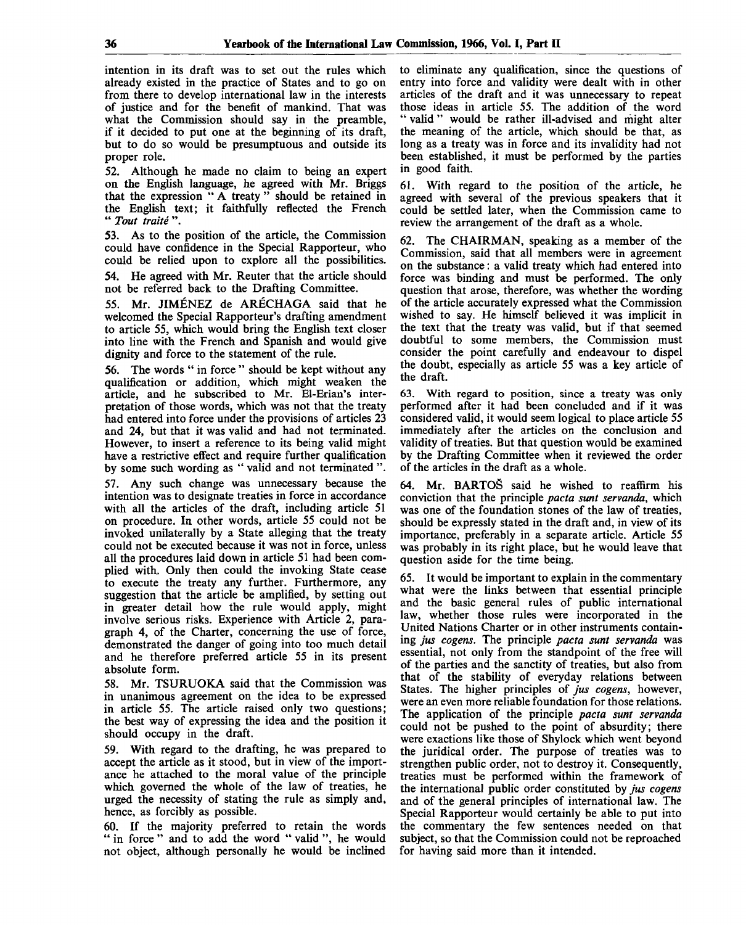intention in its draft was to set out the rules which already existed in the practice of States and to go on from there to develop international law in the interests of justice and for the benefit of mankind. That was what the Commission should say in the preamble, if it decided to put one at the beginning of its draft, but to do so would be presumptuous and outside its proper role.

52. Although he made no claim to being an expert on the English language, he agreed with Mr. Briggs that the expression " A treaty " should be retained in the English text; it faithfully reflected the French " *Tout traite* ".

53. As to the position of the article, the Commission could have confidence in the Special Rapporteur, who could be relied upon to explore all the possibilities.

54. He agreed with Mr. Reuter that the article should not be referred back to the Drafting Committee.

55. Mr. JIMENEZ de ARECHAGA said that he welcomed the Special Rapporteur's drafting amendment to article 55, which would bring the English text closer into line with the French and Spanish and would give dignity and force to the statement of the rule.

56. The words " in force " should be kept without any qualification or addition, which might weaken the article, and he subscribed to Mr. El-Erian's interpretation of those words, which was not that the treaty had entered into force under the provisions of articles 23 and 24, but that it was valid and had not terminated. However, to insert a reference to its being valid might have a restrictive effect and require further qualification by some such wording as " valid and not terminated ".

57. Any such change was unnecessary because the intention was to designate treaties in force in accordance with all the articles of the draft, including article 51 on procedure. In other words, article 55 could not be invoked unilaterally by a State alleging that the treaty could not be executed because *it* was not in force, unless all the procedures laid down in article 51 had been complied with. Only then could the invoking State cease to execute the treaty any further. Furthermore, any suggestion that the article be amplified, by setting out in greater detail how the rule would apply, might involve serious risks. Experience with Article 2, paragraph 4, of the Charter, concerning the use of force, demonstrated the danger of going into too much detail and he therefore preferred article 55 in its present absolute form.

58. Mr. TSURUOKA said that the Commission was in unanimous agreement on the idea to be expressed in article 55. The article raised only two questions; the best way of expressing the idea and the position it should occupy in the draft.

59. With regard to the drafting, he was prepared to accept the article as it stood, but in view of the importance he attached to the moral value of the principle which governed the whole of the law of treaties, he urged the necessity of stating the rule as simply and, hence, as forcibly as possible.

60. If the majority preferred to retain the words " in force " and to add the word " valid ", he would not object, although personally he would be inclined to eliminate any qualification, since the questions of entry into force and validity were dealt with in other articles of the draft and it was unnecessary to repeat those ideas in article 55. The addition of the word " valid" would be rather ill-advised and might alter the meaning of the article, which should be that, as long as a treaty was in force and its invalidity had not been established, it must be performed by the parties in good faith.

61. With regard to the position of the article, he agreed with several of the previous speakers that it could be settled later, when the Commission came to review the arrangement of the draft as a whole.

62. The CHAIRMAN, speaking as a member of the Commission, said that all members were in agreement on the substance: a valid treaty which had entered into force was binding and must be performed. The only question that arose, therefore, was whether the wording of the article accurately expressed what the Commission wished to say. He himself believed it was implicit in the text that the treaty was valid, but if that seemed doubtful to some members, the Commission must consider the point carefully and endeavour to dispel the doubt, especially as article 55 was a key article of the draft.

63. With regard to position, since a treaty was only performed after it had been concluded and if it was considered valid, it would seem logical to place article 55 immediately after the articles on the conclusion and validity of treaties. But that question would be examined by the Drafting Committee when it reviewed the order of the articles in the draft as a whole.

64. Mr. BARTOS said he wished to reaffirm his conviction that the principle *pacta sunt servanda,* which was one of the foundation stones of the law of treaties, should be expressly stated in the draft and, in view of its importance, preferably in a separate article. Article 55 was probably in its right place, but he would leave that question aside for the time being.

65. It would be important to explain in the commentary what were the links between that essential principle and the basic general rules of public international law, whether those rules were incorporated in the United Nations Charter or in other instruments containing *jus cogens.* The principle *pacta sunt servanda* was essential, not only from the standpoint of the free will of the parties and the sanctity of treaties, but also from that of the stability of everyday relations between States. The higher principles of *jus cogens,* however, were an even more reliable foundation for those relations. The application of the principle *pacta sunt servanda* could not be pushed to the point of absurdity; there were exactions like those of Shylock which went beyond the juridical order. The purpose of treaties was to strengthen public order, not to destroy it. Consequently, treaties must be performed within the framework of the international public order constituted by *jus cogens* and of the general principles of international law. The Special Rapporteur would certainly be able to put into the commentary the few sentences needed on that subject, so that the Commission could not be reproached for having said more than it intended.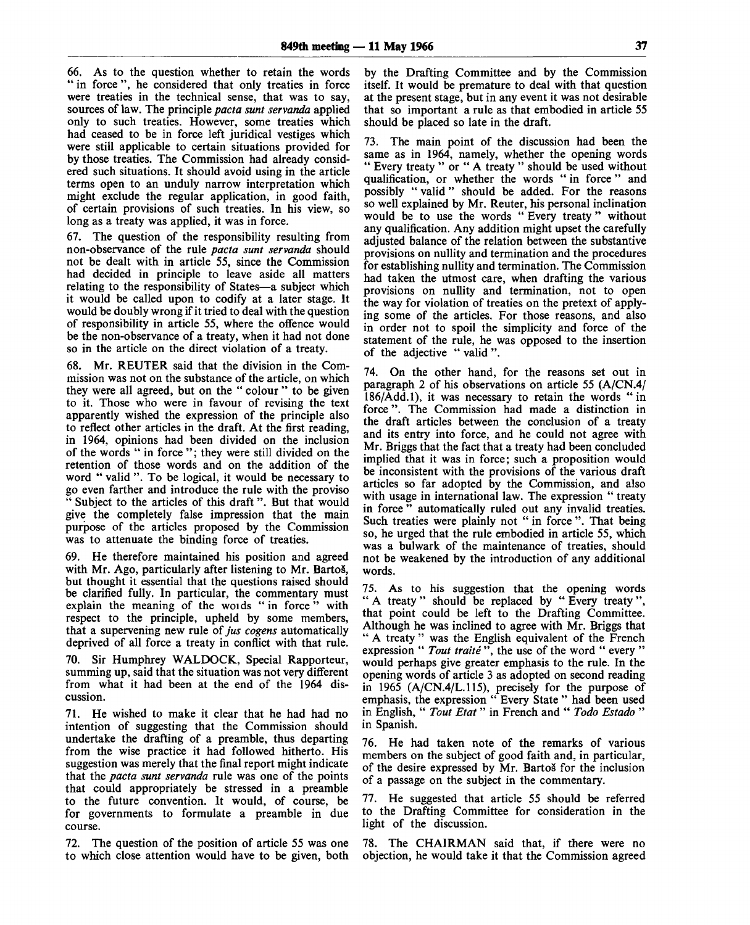66. As to the question whether to retain the words " in force", he considered that only treaties in force were treaties in the technical sense, that was to say, sources of law. The principle *pacta sunt servanda* applied only to such treaties. However, some treaties which had ceased to be in force left juridical vestiges which were still applicable to certain situations provided for by those treaties. The Commission had already considered such situations. It should avoid using in the article terms open to an unduly narrow interpretation which might exclude the regular application, in good faith, of certain provisions of such treaties. In his view, so long as a treaty was applied, it was in force.

67. The question of the responsibility resulting from non-observance of the rule *pacta sunt servanda* should not be dealt with in article 55, since the Commission had decided in principle to leave aside all matters relating to the responsibility of States—a subject which it would be called upon to codify at a later stage. It would be doubly wrong if it tried to deal with the question of responsibility in article 55, where the offence would be the non-observance of a treaty, when it had not done so in the article on the direct violation of a treaty.

68. Mr. REUTER said that the division in the Commission was not on the substance of the article, on which they were all agreed, but on the " colour " to be given to it. Those who were in favour of revising the text apparently wished the expression of the principle also to reflect other articles in the draft. At the first reading, in 1964, opinions had been divided on the inclusion of the words " in force "; they were still divided on the retention of those words and on the addition of the word " valid ". To be logical, it would be necessary to go even farther and introduce the rule with the proviso " Subject to the articles of this draft". But that would give the completely false impression that the main purpose of the articles proposed by the Commission was to attenuate the binding force of treaties.

69. He therefore maintained his position and agreed with Mr. Ago, particularly after listening to Mr. Bartoš, but thought it essential that the questions raised should be clarified fully. In particular, the commentary must explain the meaning of the words "in force" with respect to the principle, upheld by some members, that a supervening new rule of *jus cogens* automatically deprived of all force a treaty in conflict with that rule.

70. Sir Humphrey WALDOCK, Special Rapporteur, summing up, said that the situation was not very different from what it had been at the end of the 1964 discussion.

71. He wished to make it clear that he had had no intention of suggesting that the Commission should undertake the drafting of a preamble, thus departing from the wise practice it had followed hitherto. His suggestion was merely that the final report might indicate that the *pacta sunt servanda* rule was one of the points that could appropriately be stressed in a preamble to the future convention. It would, of course, be for governments to formulate a preamble in due course.

72. The question of the position of article 55 was one to which close attention would have to be given, both by the Drafting Committee and by the Commission itself. It would be premature to deal with that question at the present stage, but in any event it was not desirable that so important a rule as that embodied in article 55 should be placed so late in the draft.

73. The main point of the discussion had been the same as in 1964, namely, whether the opening words " Every treaty " or " A treaty " should be used without qualification, or whether the words " in force " and possibly " valid " should be added. For the reasons so well explained by Mr. Reuter, his personal inclination would be to use the words " Every treaty " without any qualification. Any addition might upset the carefully adjusted balance of the relation between the substantive provisions on nullity and termination and the procedures for establishing nullity and termination. The Commission had taken the utmost care, when drafting the various provisions on nullity and termination, not to open the way for violation of treaties on the pretext of applying some of the articles. For those reasons, and also in order not to spoil the simplicity and force of the statement of the rule, he was opposed to the insertion of the adjective " valid ".

74. On the other hand, for the reasons set out in paragraph 2 of his observations on article 55 (A/CN.4/  $186/Add.1$ ), it was necessary to retain the words "in force". The Commission had made a distinction in the draft articles between the conclusion of a treaty and its entry into force, and he could not agree with Mr. Briggs that the fact that a treaty had been concluded implied that it was in force; such a proposition would be inconsistent with the provisions of the various draft articles so far adopted by the Commission, and also with usage in international law. The expression "treaty in force " automatically ruled out any invalid treaties. Such treaties were plainly not " in force ". That being so, he urged that the rule embodied in article 55, which was a bulwark of the maintenance of treaties, should not be weakened by the introduction of any additional words.

75. As to his suggestion that the opening words " A treaty " should be replaced by " Every treaty ", that point could be left to the Drafting Committee. Although he was inclined to agree with Mr. Briggs that " A treaty " was the English equivalent of the French expression " Tout traité ", the use of the word " every " would perhaps give greater emphasis to the rule. In the opening words of article 3 as adopted on second reading in 1965 (A/CN.4/L.115), precisely for the purpose of emphasis, the expression " Every State " had been used in English, " *Tout Etat*" in French and " *Todo Estado* " in Spanish.

76. He had taken note of the remarks of various members on the subject of good faith and, in particular, of the desire expressed by Mr. Bartos for the inclusion of a passage on the subject in the commentary.

77. He suggested that article 55 should be referred to the Drafting Committee for consideration in the light of the discussion.

78. The CHAIRMAN said that, if there were no objection, he would take it that the Commission agreed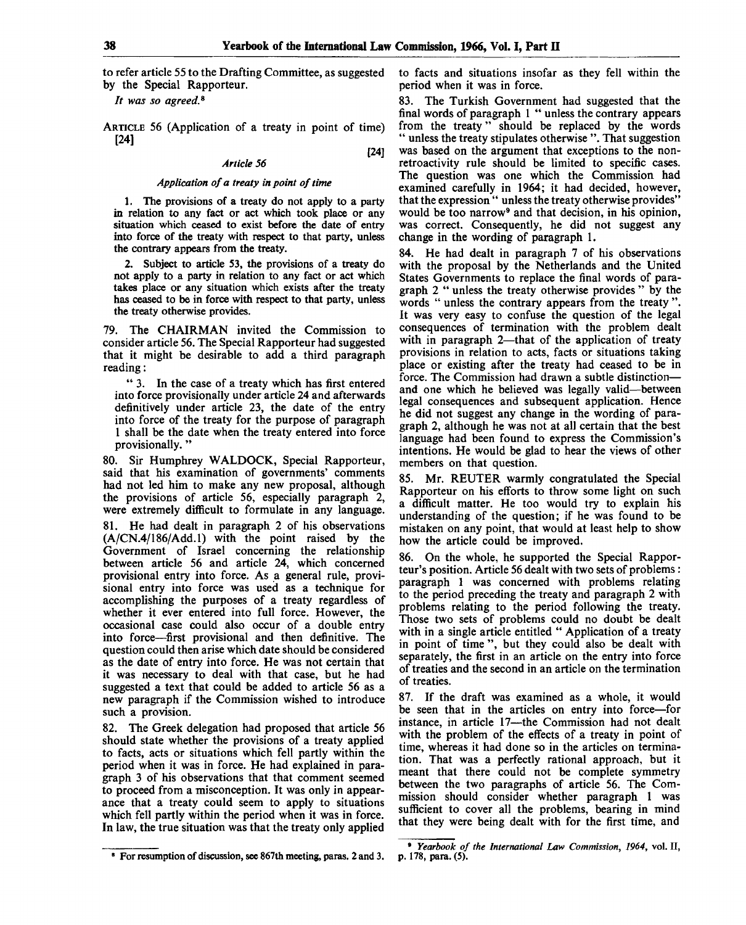[24]

to refer article 55 to the Drafting Committee, as suggested by the Special Rapporteur.

It was so agreed.<sup>8</sup>

ARTICLE 56 (Application of a treaty in point of time) [24]

#### *Article 56*

#### *Application of a treaty in point of time*

1. The provisions of a treaty do not apply to a party in relation to any fact or act which took place or any situation which ceased to exist before the date of entry into force of the treaty with respect to that party, unless the contrary appears from the treaty.

2. Subject to article 53, the provisions of a treaty do not apply to a party in relation to any fact or act which takes place or any situation which exists after the treaty has ceased to be in force with respect to that party, unless the treaty otherwise provides.

79. The CHAIRMAN invited the Commission to consider article 56. The Special Rapporteur had suggested that it might be desirable to add a third paragraph reading:

" 3. In the case of a treaty which has first entered into force provisionally under article 24 and afterwards definitively under article 23, the date of the entry into force of the treaty for the purpose of paragraph 1 shall be the date when the treaty entered into force provisionally.'

80. Sir Humphrey WALDOCK, Special Rapporteur, said that his examination of governments' comments had not led him to make any new proposal, although the provisions of article 56, especially paragraph 2, were extremely difficult to formulate in any language. 81. He had dealt in paragraph 2 of his observations (A/CN.4/186/Add.l) with the point raised by the Government of Israel concerning the relationship between article 56 and article 24, which concerned provisional entry into force. As a general rule, provisional entry into force was used as a technique for accomplishing the purposes of a treaty regardless of whether it ever entered into full force. However, the occasional case could also occur of a double entry into force—first provisional and then definitive. The question could then arise which date should be considered as the date of entry into force. He was not certain that it was necessary to deal with that case, but he had suggested a text that could be added to article 56 as a new paragraph if the Commission wished to introduce such a provision.

82. The Greek delegation had proposed that article 56 should state whether the provisions of a treaty applied to facts, acts or situations which fell partly within the period when it was in force. He had explained in paragraph 3 of his observations that that comment seemed to proceed from a misconception. It was only in appearance that a treaty could seem to apply to situations which fell partly within the period when it was in force. In law, the true situation was that the treaty only applied

8 For resumption of discussion, see 867th meeting, paras. 2 and 3.

to facts and situations insofar as they fell within the period when it was in force.

83. The Turkish Government had suggested that the final words of paragraph 1 " unless the contrary appears from the treaty" should be replaced by the words " unless the treaty stipulates otherwise ". That suggestion was based on the argument that exceptions to the nonretroactivity rule should be limited to specific cases. The question was one which the Commission had examined carefully in 1964; it had decided, however, that the expression " unless the treaty otherwise provides" would be too narrow<sup>9</sup> and that decision, in his opinion, was correct. Consequently, he did not suggest any change in the wording of paragraph 1.

84. He had dealt in paragraph 7 of his observations with the proposal by the Netherlands and the United States Governments to replace the final words of paragraph 2 " unless the treaty otherwise provides " by the words " unless the contrary appears from the treaty ". It was very easy to confuse the question of the legal consequences of termination with the problem dealt with in paragraph 2—that of the application of treaty provisions in relation to acts, facts or situations taking place or existing after the treaty had ceased to be in force. The Commission had drawn a subtle distinction and one which he believed was legally valid—between legal consequences and subsequent application. Hence he did not suggest any change in the wording of paragraph 2, although he was not at all certain that the best language had been found to express the Commission's intentions. He would be glad to hear the views of other members on that question.

85. Mr. REUTER warmly congratulated the Special Rapporteur on his efforts to throw some light on such a difficult matter. He too would try to explain his understanding of the question; if he was found to be mistaken on any point, that would at least help to show how the article could be improved.

86. On the whole, he supported the Special Rapporteur's position. Article 56 dealt with two sets of problems : paragraph 1 was concerned with problems relating to the period preceding the treaty and paragraph 2 with problems relating to the period following the treaty. Those two sets of problems could no doubt be dealt with in a single article entitled "Application of a treaty in point of time ", but they could also be dealt with separately, the first in an article on the entry into force of treaties and the second in an article on the termination of treaties.

87. If the draft was examined as a whole, it would be seen that in the articles on entry into force—for instance, in article 17—the Commission had not dealt with the problem of the effects of a treaty in point of time, whereas it had done so in the articles on termination. That was a perfectly rational approach, but it meant that there could not be complete symmetry between the two paragraphs of article 56. The Commission should consider whether paragraph 1 was sufficient to cover all the problems, bearing in mind that they were being dealt with for the first time, and

<sup>9</sup>  *Yearbook of the International Law Commission, 1964,* vol. II, p. 178, para. (5).